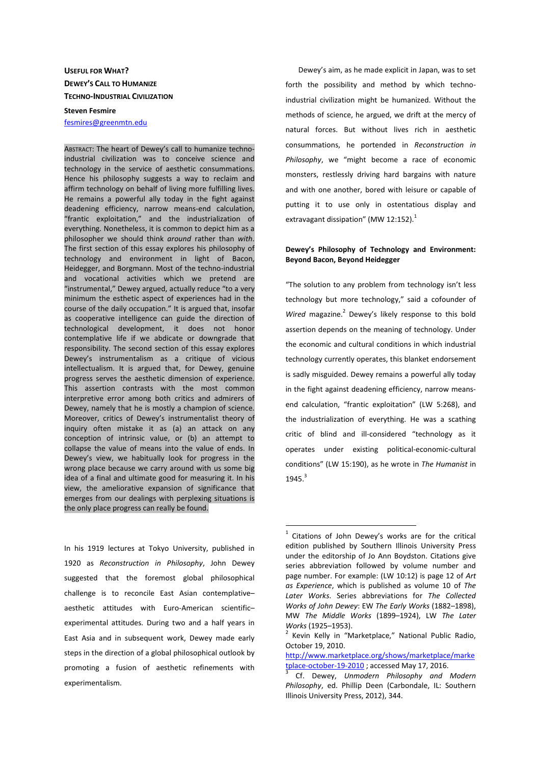## **USEFUL FOR WHAT? DEWEY'S CALL TO HUMANIZE TECHNO-INDUSTRIAL CIVILIZATION**

## **Steven Fesmire**

fesmires@greenmtn.edu

ABSTRACT: The heart of Dewey's call to humanize technoindustrial civilization was to conceive science and technology in the service of aesthetic consummations. Hence his philosophy suggests a way to reclaim and affirm technology on behalf of living more fulfilling lives. He remains a powerful ally today in the fight against deadening efficiency, narrow means-end calculation, "frantic exploitation," and the industrialization of everything. Nonetheless, it is common to depict him as a philosopher we should think *around* rather than *with*. The first section of this essay explores his philosophy of technology and environment in light of Bacon, Heidegger, and Borgmann. Most of the techno-industrial and vocational activities which we pretend are "instrumental," Dewey argued, actually reduce "to a very minimum the esthetic aspect of experiences had in the course of the daily occupation." It is argued that, insofar as cooperative intelligence can guide the direction of technological development, it does not honor contemplative life if we abdicate or downgrade that responsibility. The second section of this essay explores Dewey's instrumentalism as a critique of vicious intellectualism. It is argued that, for Dewey, genuine progress serves the aesthetic dimension of experience. This assertion contrasts with the most common interpretive error among both critics and admirers of Dewey, namely that he is mostly a champion of science. Moreover, critics of Dewey's instrumentalist theory of inquiry often mistake it as (a) an attack on any conception of intrinsic value, or (b) an attempt to collapse the value of means into the value of ends. In Dewey's view, we habitually look for progress in the wrong place because we carry around with us some big idea of a final and ultimate good for measuring it. In his view, the ameliorative expansion of significance that emerges from our dealings with perplexing situations is the only place progress can really be found.

In his 1919 lectures at Tokyo University, published in 1920 as *Reconstruction in Philosophy*, John Dewey suggested that the foremost global philosophical challenge is to reconcile East Asian contemplative– aesthetic attitudes with Euro-American scientific– experimental attitudes. During two and a half years in East Asia and in subsequent work, Dewey made early steps in the direction of a global philosophical outlook by promoting a fusion of aesthetic refinements with experimentalism.

Dewey's aim, as he made explicit in Japan, was to set forth the possibility and method by which technoindustrial civilization might be humanized. Without the methods of science, he argued, we drift at the mercy of natural forces. But without lives rich in aesthetic consummations, he portended in *Reconstruction in Philosophy*, we "might become a race of economic monsters, restlessly driving hard bargains with nature and with one another, bored with leisure or capable of putting it to use only in ostentatious display and extravagant dissipation" (MW 12:152).<sup>1</sup>

## **Dewey's Philosophy of Technology and Environment: Beyond Bacon, Beyond Heidegger**

"The solution to any problem from technology isn't less technology but more technology," said a cofounder of Wired magazine.<sup>2</sup> Dewey's likely response to this bold assertion depends on the meaning of technology. Under the economic and cultural conditions in which industrial technology currently operates, this blanket endorsement is sadly misguided. Dewey remains a powerful ally today in the fight against deadening efficiency, narrow meansend calculation, "frantic exploitation" (LW 5:268), and the industrialization of everything. He was a scathing critic of blind and ill-considered "technology as it operates under existing political-economic-cultural conditions" (LW 15:190), as he wrote in *The Humanist* in 1945.<sup>3</sup>

<sup>1</sup> Citations of John Dewey's works are for the critical edition published by Southern Illinois University Press under the editorship of Jo Ann Boydston. Citations give series abbreviation followed by volume number and page number. For example: (LW 10:12) is page 12 of *Art as Experience*, which is published as volume 10 of *The Later Works*. Series abbreviations for *The Collected Works of John Dewey*: EW *The Early Works* (1882–1898), MW *The Middle Works* (1899–1924), LW *The Later Works* (1925–1953).

<sup>&</sup>lt;sup>2</sup> Kevin Kelly in "Marketplace," National Public Radio, October 19, 2010.

http://www.marketplace.org/shows/marketplace/marke tplace-october-19-2010 ; accessed May 17, 2016.

<sup>3</sup> Cf. Dewey, *Unmodern Philosophy and Modern Philosophy*, ed. Phillip Deen (Carbondale, IL: Southern Illinois University Press, 2012), 344.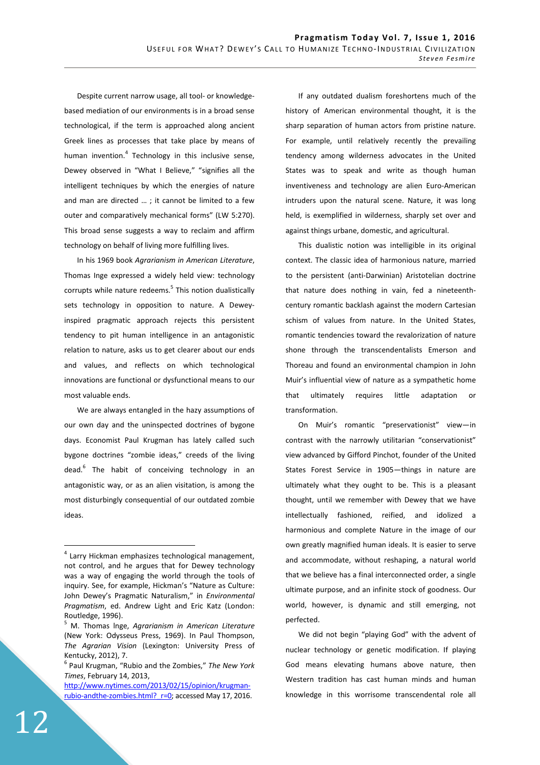Despite current narrow usage, all tool- or knowledgebased mediation of our environments is in a broad sense technological, if the term is approached along ancient Greek lines as processes that take place by means of human invention.<sup>4</sup> Technology in this inclusive sense, Dewey observed in "What I Believe," "signifies all the intelligent techniques by which the energies of nature and man are directed … ; it cannot be limited to a few outer and comparatively mechanical forms" (LW 5:270). This broad sense suggests a way to reclaim and affirm technology on behalf of living more fulfilling lives.

In his 1969 book *Agrarianism in American Literature*, Thomas Inge expressed a widely held view: technology corrupts while nature redeems.<sup>5</sup> This notion dualistically sets technology in opposition to nature. A Deweyinspired pragmatic approach rejects this persistent tendency to pit human intelligence in an antagonistic relation to nature, asks us to get clearer about our ends and values, and reflects on which technological innovations are functional or dysfunctional means to our most valuable ends.

We are always entangled in the hazy assumptions of our own day and the uninspected doctrines of bygone days. Economist Paul Krugman has lately called such bygone doctrines "zombie ideas," creeds of the living dead.<sup>6</sup> The habit of conceiving technology in an antagonistic way, or as an alien visitation, is among the most disturbingly consequential of our outdated zombie ideas.

If any outdated dualism foreshortens much of the history of American environmental thought, it is the sharp separation of human actors from pristine nature. For example, until relatively recently the prevailing tendency among wilderness advocates in the United States was to speak and write as though human inventiveness and technology are alien Euro-American intruders upon the natural scene. Nature, it was long held, is exemplified in wilderness, sharply set over and against things urbane, domestic, and agricultural.

This dualistic notion was intelligible in its original context. The classic idea of harmonious nature, married to the persistent (anti-Darwinian) Aristotelian doctrine that nature does nothing in vain, fed a nineteenthcentury romantic backlash against the modern Cartesian schism of values from nature. In the United States, romantic tendencies toward the revalorization of nature shone through the transcendentalists Emerson and Thoreau and found an environmental champion in John Muir's influential view of nature as a sympathetic home that ultimately requires little adaptation or transformation.

On Muir's romantic "preservationist" view—in contrast with the narrowly utilitarian "conservationist" view advanced by Gifford Pinchot, founder of the United States Forest Service in 1905—things in nature are ultimately what they ought to be. This is a pleasant thought, until we remember with Dewey that we have intellectually fashioned, reified, and idolized a harmonious and complete Nature in the image of our own greatly magnified human ideals. It is easier to serve and accommodate, without reshaping, a natural world that we believe has a final interconnected order, a single ultimate purpose, and an infinite stock of goodness. Our world, however, is dynamic and still emerging, not perfected.

We did not begin "playing God" with the advent of nuclear technology or genetic modification. If playing God means elevating humans above nature, then Western tradition has cast human minds and human knowledge in this worrisome transcendental role all

<sup>&</sup>lt;sup>4</sup> Larry Hickman emphasizes technological management, not control, and he argues that for Dewey technology was a way of engaging the world through the tools of inquiry. See, for example, Hickman's "Nature as Culture: John Dewey's Pragmatic Naturalism," in *Environmental Pragmatism*, ed. Andrew Light and Eric Katz (London: Routledge, 1996).

<sup>5</sup> M. Thomas lnge, *Agrarianism in American Literature* (New York: Odysseus Press, 1969). In Paul Thompson, *The Agrarian Vision* (Lexington: University Press of Kentucky, 2012), 7.

<sup>6</sup> Paul Krugman, "Rubio and the Zombies," *The New York Times*, February 14, 2013,

http://www.nytimes.com/2013/02/15/opinion/krugmanrubio-andthe-zombies.html? r=0; accessed May 17, 2016.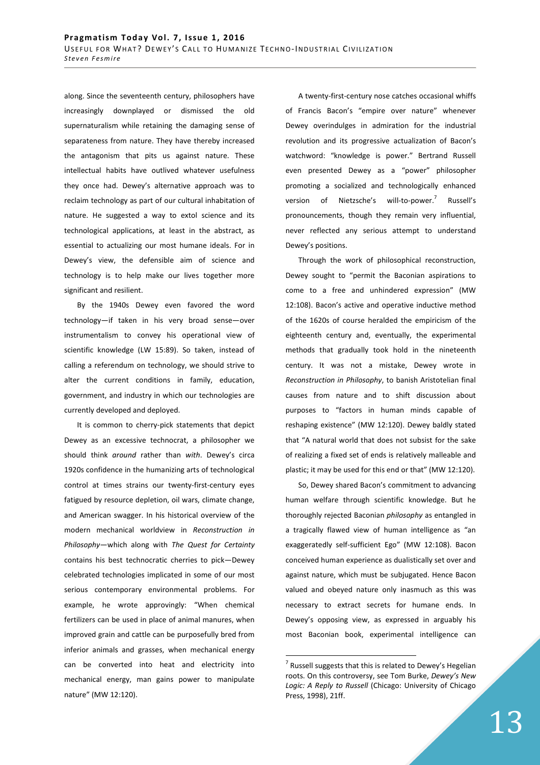along. Since the seventeenth century, philosophers have increasingly downplayed or dismissed the old supernaturalism while retaining the damaging sense of separateness from nature. They have thereby increased the antagonism that pits us against nature. These intellectual habits have outlived whatever usefulness they once had. Dewey's alternative approach was to reclaim technology as part of our cultural inhabitation of nature. He suggested a way to extol science and its technological applications, at least in the abstract, as essential to actualizing our most humane ideals. For in Dewey's view, the defensible aim of science and technology is to help make our lives together more significant and resilient.

By the 1940s Dewey even favored the word technology—if taken in his very broad sense—over instrumentalism to convey his operational view of scientific knowledge (LW 15:89). So taken, instead of calling a referendum on technology, we should strive to alter the current conditions in family, education, government, and industry in which our technologies are currently developed and deployed.

It is common to cherry-pick statements that depict Dewey as an excessive technocrat, a philosopher we should think *around* rather than *with*. Dewey's circa 1920s confidence in the humanizing arts of technological control at times strains our twenty-first-century eyes fatigued by resource depletion, oil wars, climate change, and American swagger. In his historical overview of the modern mechanical worldview in *Reconstruction in Philosophy*—which along with *The Quest for Certainty* contains his best technocratic cherries to pick—Dewey celebrated technologies implicated in some of our most serious contemporary environmental problems. For example, he wrote approvingly: "When chemical fertilizers can be used in place of animal manures, when improved grain and cattle can be purposefully bred from inferior animals and grasses, when mechanical energy can be converted into heat and electricity into mechanical energy, man gains power to manipulate nature" (MW 12:120).

A twenty-first-century nose catches occasional whiffs of Francis Bacon's "empire over nature" whenever Dewey overindulges in admiration for the industrial revolution and its progressive actualization of Bacon's watchword: "knowledge is power." Bertrand Russell even presented Dewey as a "power" philosopher promoting a socialized and technologically enhanced version of Nietzsche's will-to-power. Russell's pronouncements, though they remain very influential, never reflected any serious attempt to understand Dewey's positions.

Through the work of philosophical reconstruction, Dewey sought to "permit the Baconian aspirations to come to a free and unhindered expression" (MW 12:108). Bacon's active and operative inductive method of the 1620s of course heralded the empiricism of the eighteenth century and, eventually, the experimental methods that gradually took hold in the nineteenth century. It was not a mistake, Dewey wrote in *Reconstruction in Philosophy*, to banish Aristotelian final causes from nature and to shift discussion about purposes to "factors in human minds capable of reshaping existence" (MW 12:120). Dewey baldly stated that "A natural world that does not subsist for the sake of realizing a fixed set of ends is relatively malleable and plastic; it may be used for this end or that" (MW 12:120).

So, Dewey shared Bacon's commitment to advancing human welfare through scientific knowledge. But he thoroughly rejected Baconian *philosophy* as entangled in a tragically flawed view of human intelligence as "an exaggeratedly self-sufficient Ego" (MW 12:108). Bacon conceived human experience as dualistically set over and against nature, which must be subjugated. Hence Bacon valued and obeyed nature only inasmuch as this was necessary to extract secrets for humane ends. In Dewey's opposing view, as expressed in arguably his most Baconian book, experimental intelligence can

 $7$  Russell suggests that this is related to Dewey's Hegelian roots. On this controversy, see Tom Burke, *Dewey's New Logic: A Reply to Russell* (Chicago: University of Chicago Press, 1998), 21ff.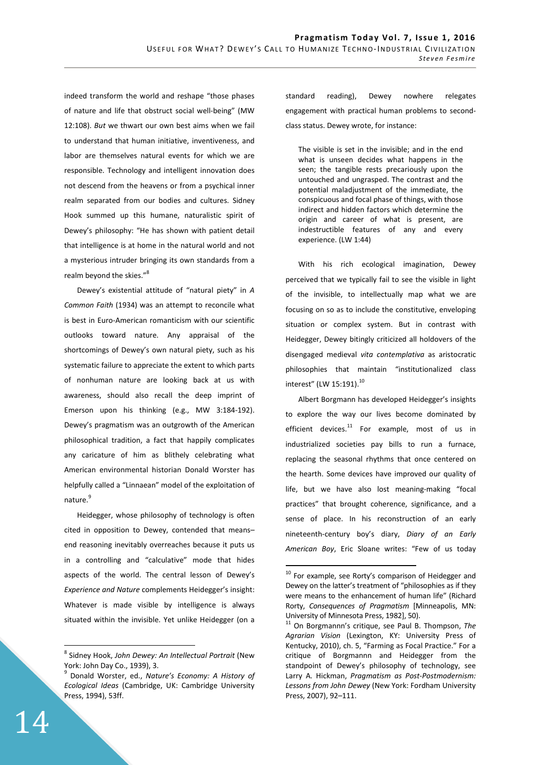indeed transform the world and reshape "those phases of nature and life that obstruct social well-being" (MW 12:108). *But* we thwart our own best aims when we fail to understand that human initiative, inventiveness, and labor are themselves natural events for which we are responsible. Technology and intelligent innovation does not descend from the heavens or from a psychical inner realm separated from our bodies and cultures. Sidney Hook summed up this humane, naturalistic spirit of Dewey's philosophy: "He has shown with patient detail that intelligence is at home in the natural world and not a mysterious intruder bringing its own standards from a realm beyond the skies."<sup>8</sup>

Dewey's existential attitude of "natural piety" in *A Common Faith* (1934) was an attempt to reconcile what is best in Euro-American romanticism with our scientific outlooks toward nature. Any appraisal of the shortcomings of Dewey's own natural piety, such as his systematic failure to appreciate the extent to which parts of nonhuman nature are looking back at us with awareness, should also recall the deep imprint of Emerson upon his thinking (e.g., MW 3:184-192). Dewey's pragmatism was an outgrowth of the American philosophical tradition, a fact that happily complicates any caricature of him as blithely celebrating what American environmental historian Donald Worster has helpfully called a "Linnaean" model of the exploitation of nature.<sup>9</sup>

Heidegger, whose philosophy of technology is often cited in opposition to Dewey, contended that means– end reasoning inevitably overreaches because it puts us in a controlling and "calculative" mode that hides aspects of the world. The central lesson of Dewey's *Experience and Nature* complements Heidegger's insight: Whatever is made visible by intelligence is always situated within the invisible. Yet unlike Heidegger (on a

standard reading), Dewey nowhere relegates engagement with practical human problems to secondclass status. Dewey wrote, for instance:

The visible is set in the invisible; and in the end what is unseen decides what happens in the seen; the tangible rests precariously upon the untouched and ungrasped. The contrast and the potential maladjustment of the immediate, the conspicuous and focal phase of things, with those indirect and hidden factors which determine the origin and career of what is present, are indestructible features of any and every experience. (LW 1:44)

With his rich ecological imagination, Dewey perceived that we typically fail to see the visible in light of the invisible, to intellectually map what we are focusing on so as to include the constitutive, enveloping situation or complex system. But in contrast with Heidegger, Dewey bitingly criticized all holdovers of the disengaged medieval *vita contemplativa* as aristocratic philosophies that maintain "institutionalized class interest" (LW 15:191).<sup>10</sup>

Albert Borgmann has developed Heidegger's insights to explore the way our lives become dominated by efficient devices. $^{11}$  For example, most of us in industrialized societies pay bills to run a furnace, replacing the seasonal rhythms that once centered on the hearth. Some devices have improved our quality of life, but we have also lost meaning-making "focal practices" that brought coherence, significance, and a sense of place. In his reconstruction of an early nineteenth-century boy's diary, *Diary of an Early American Boy*, Eric Sloane writes: "Few of us today

 $\overline{a}$ 

<sup>8</sup> Sidney Hook, *John Dewey: An Intellectual Portrait* (New York: John Day Co., 1939), 3.

<sup>9</sup> Donald Worster, ed., *Nature's Economy: A History of Ecological Ideas* (Cambridge, UK: Cambridge University Press, 1994), 53ff.

 $10$  For example, see Rorty's comparison of Heidegger and Dewey on the latter's treatment of "philosophies as if they were means to the enhancement of human life" (Richard Rorty, *Consequences of Pragmatism* [Minneapolis, MN: University of Minnesota Press, 1982], 50).

<sup>11</sup> On Borgmannn's critique, see Paul B. Thompson, *The Agrarian Vision* (Lexington, KY: University Press of Kentucky, 2010), ch. 5, "Farming as Focal Practice." For a critique of Borgmannn and Heidegger from the standpoint of Dewey's philosophy of technology, see Larry A. Hickman, *Pragmatism as Post-Postmodernism: Lessons from John Dewey* (New York: Fordham University Press, 2007), 92–111.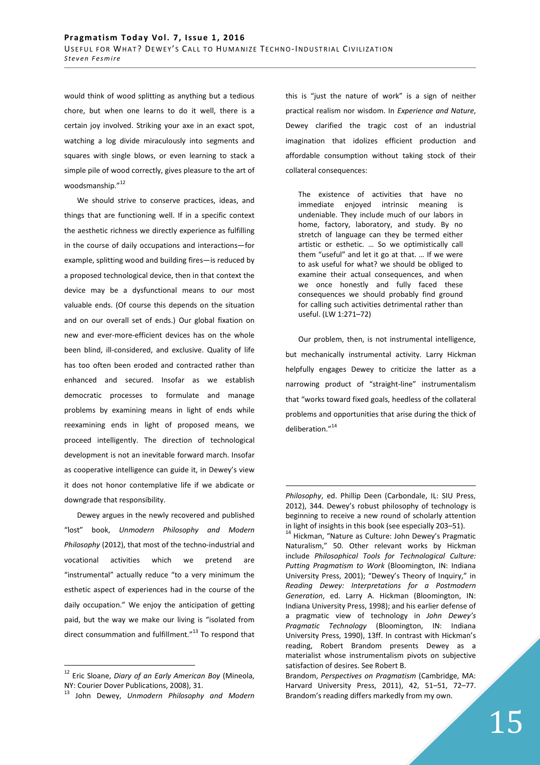would think of wood splitting as anything but a tedious chore, but when one learns to do it well, there is a certain joy involved. Striking your axe in an exact spot, watching a log divide miraculously into segments and squares with single blows, or even learning to stack a simple pile of wood correctly, gives pleasure to the art of woodsmanship."<sup>12</sup>

We should strive to conserve practices, ideas, and things that are functioning well. If in a specific context the aesthetic richness we directly experience as fulfilling in the course of daily occupations and interactions—for example, splitting wood and building fires—is reduced by a proposed technological device, then in that context the device may be a dysfunctional means to our most valuable ends. (Of course this depends on the situation and on our overall set of ends.) Our global fixation on new and ever-more-efficient devices has on the whole been blind, ill-considered, and exclusive. Quality of life has too often been eroded and contracted rather than enhanced and secured. Insofar as we establish democratic processes to formulate and manage problems by examining means in light of ends while reexamining ends in light of proposed means, we proceed intelligently. The direction of technological development is not an inevitable forward march. Insofar as cooperative intelligence can guide it, in Dewey's view it does not honor contemplative life if we abdicate or downgrade that responsibility.

Dewey argues in the newly recovered and published "lost" book, *Unmodern Philosophy and Modern Philosophy* (2012), that most of the techno-industrial and vocational activities which we pretend are "instrumental" actually reduce "to a very minimum the esthetic aspect of experiences had in the course of the daily occupation." We enjoy the anticipation of getting paid, but the way we make our living is "isolated from direct consummation and fulfillment."<sup>13</sup> To respond that

 $\overline{a}$ 

this is "just the nature of work" is a sign of neither practical realism nor wisdom. In *Experience and Nature*, Dewey clarified the tragic cost of an industrial imagination that idolizes efficient production and affordable consumption without taking stock of their collateral consequences:

The existence of activities that have no immediate enjoyed intrinsic meaning is undeniable. They include much of our labors in home, factory, laboratory, and study. By no stretch of language can they be termed either artistic or esthetic. … So we optimistically call them "useful" and let it go at that. … If we were to ask useful for what? we should be obliged to examine their actual consequences, and when we once honestly and fully faced these consequences we should probably find ground for calling such activities detrimental rather than useful. (LW 1:271–72)

Our problem, then, is not instrumental intelligence, but mechanically instrumental activity. Larry Hickman helpfully engages Dewey to criticize the latter as a narrowing product of "straight-line" instrumentalism that "works toward fixed goals, heedless of the collateral problems and opportunities that arise during the thick of deliberation."<sup>14</sup>

<sup>12</sup> Eric Sloane, *Diary of an Early American Boy* (Mineola, NY: Courier Dover Publications, 2008), 31.

<sup>13</sup> John Dewey, *Unmodern Philosophy and Modern* 

*Philosophy*, ed. Phillip Deen (Carbondale, IL: SIU Press, 2012), 344. Dewey's robust philosophy of technology is beginning to receive a new round of scholarly attention in light of insights in this book (see especially 203–51).

<sup>&</sup>lt;sup>14</sup> Hickman, "Nature as Culture: John Dewey's Pragmatic Naturalism," 50. Other relevant works by Hickman include *Philosophical Tools for Technological Culture: Putting Pragmatism to Work* (Bloomington, IN: Indiana University Press, 2001); "Dewey's Theory of Inquiry," in *Reading Dewey: Interpretations for a Postmodern Generation*, ed. Larry A. Hickman (Bloomington, IN: Indiana University Press, 1998); and his earlier defense of a pragmatic view of technology in *John Dewey's Pragmatic Technology* (Bloomington, IN: Indiana University Press, 1990), 13ff. In contrast with Hickman's reading, Robert Brandom presents Dewey as a materialist whose instrumentalism pivots on subjective satisfaction of desires. See Robert B.

Brandom, *Perspectives on Pragmatism* (Cambridge, MA: Harvard University Press, 2011), 42, 51–51, 72–77. Brandom's reading differs markedly from my own.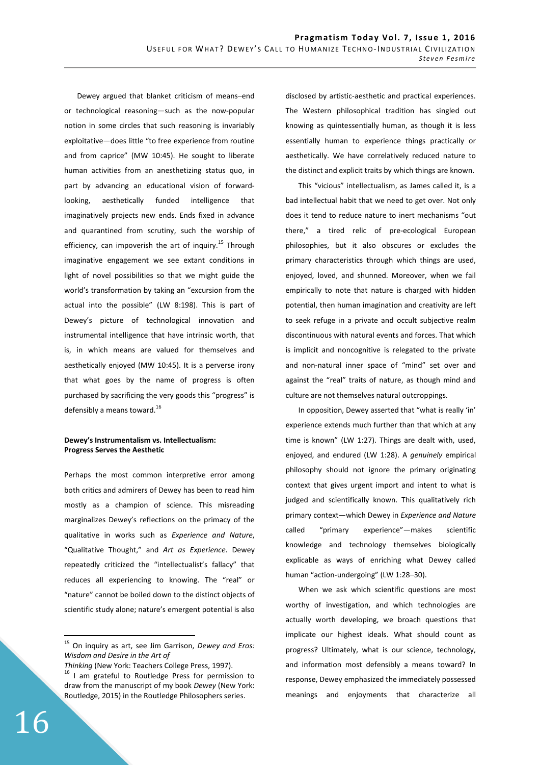Dewey argued that blanket criticism of means–end or technological reasoning—such as the now-popular notion in some circles that such reasoning is invariably exploitative—does little "to free experience from routine and from caprice" (MW 10:45). He sought to liberate human activities from an anesthetizing status quo, in part by advancing an educational vision of forwardlooking, aesthetically funded intelligence that imaginatively projects new ends. Ends fixed in advance and quarantined from scrutiny, such the worship of efficiency, can impoverish the art of inquiry.<sup>15</sup> Through imaginative engagement we see extant conditions in light of novel possibilities so that we might guide the world's transformation by taking an "excursion from the actual into the possible" (LW 8:198). This is part of Dewey's picture of technological innovation and instrumental intelligence that have intrinsic worth, that is, in which means are valued for themselves and aesthetically enjoyed (MW 10:45). It is a perverse irony that what goes by the name of progress is often purchased by sacrificing the very goods this "progress" is defensibly a means toward.<sup>16</sup>

## **Dewey's Instrumentalism vs. Intellectualism: Progress Serves the Aesthetic**

Perhaps the most common interpretive error among both critics and admirers of Dewey has been to read him mostly as a champion of science. This misreading marginalizes Dewey's reflections on the primacy of the qualitative in works such as *Experience and Nature*, "Qualitative Thought," and *Art as Experience*. Dewey repeatedly criticized the "intellectualist's fallacy" that reduces all experiencing to knowing. The "real" or "nature" cannot be boiled down to the distinct objects of scientific study alone; nature's emergent potential is also

disclosed by artistic-aesthetic and practical experiences. The Western philosophical tradition has singled out knowing as quintessentially human, as though it is less essentially human to experience things practically or aesthetically. We have correlatively reduced nature to the distinct and explicit traits by which things are known.

This "vicious" intellectualism, as James called it, is a bad intellectual habit that we need to get over. Not only does it tend to reduce nature to inert mechanisms "out there," a tired relic of pre-ecological European philosophies, but it also obscures or excludes the primary characteristics through which things are used, enjoyed, loved, and shunned. Moreover, when we fail empirically to note that nature is charged with hidden potential, then human imagination and creativity are left to seek refuge in a private and occult subjective realm discontinuous with natural events and forces. That which is implicit and noncognitive is relegated to the private and non-natural inner space of "mind" set over and against the "real" traits of nature, as though mind and culture are not themselves natural outcroppings.

In opposition, Dewey asserted that "what is really 'in' experience extends much further than that which at any time is known" (LW 1:27). Things are dealt with, used, enjoyed, and endured (LW 1:28). A *genuinely* empirical philosophy should not ignore the primary originating context that gives urgent import and intent to what is judged and scientifically known. This qualitatively rich primary context—which Dewey in *Experience and Nature* called "primary experience"—makes scientific knowledge and technology themselves biologically explicable as ways of enriching what Dewey called human "action-undergoing" (LW 1:28–30).

When we ask which scientific questions are most worthy of investigation, and which technologies are actually worth developing, we broach questions that implicate our highest ideals. What should count as progress? Ultimately, what is our science, technology, and information most defensibly a means toward? In response, Dewey emphasized the immediately possessed meanings and enjoyments that characterize all

<sup>15</sup> On inquiry as art, see Jim Garrison, *Dewey and Eros: Wisdom and Desire in the Art of* 

*Thinking* (New York: Teachers College Press, 1997).

<sup>&</sup>lt;sup>16</sup> I am grateful to Routledge Press for permission to draw from the manuscript of my book *Dewey* (New York: Routledge, 2015) in the Routledge Philosophers series.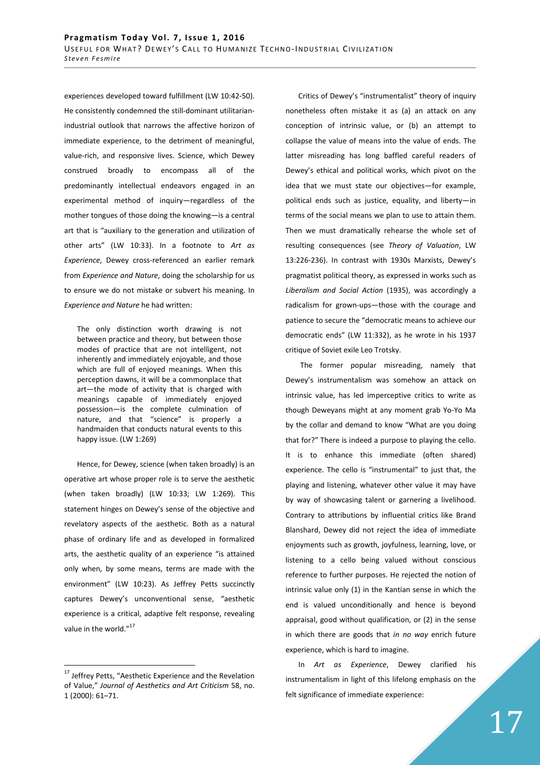experiences developed toward fulfillment (LW 10:42-50). He consistently condemned the still-dominant utilitarianindustrial outlook that narrows the affective horizon of immediate experience, to the detriment of meaningful, value-rich, and responsive lives. Science, which Dewey construed broadly to encompass all of the predominantly intellectual endeavors engaged in an experimental method of inquiry—regardless of the mother tongues of those doing the knowing—is a central art that is "auxiliary to the generation and utilization of other arts" (LW 10:33). In a footnote to *Art as Experience*, Dewey cross-referenced an earlier remark from *Experience and Nature*, doing the scholarship for us to ensure we do not mistake or subvert his meaning. In *Experience and Nature* he had written:

The only distinction worth drawing is not between practice and theory, but between those modes of practice that are not intelligent, not inherently and immediately enjoyable, and those which are full of enjoyed meanings. When this perception dawns, it will be a commonplace that art—the mode of activity that is charged with meanings capable of immediately enjoyed possession—is the complete culmination of nature, and that "science" is properly a handmaiden that conducts natural events to this happy issue. (LW 1:269)

Hence, for Dewey, science (when taken broadly) is an operative art whose proper role is to serve the aesthetic (when taken broadly) (LW 10:33; LW 1:269). This statement hinges on Dewey's sense of the objective and revelatory aspects of the aesthetic. Both as a natural phase of ordinary life and as developed in formalized arts, the aesthetic quality of an experience "is attained only when, by some means, terms are made with the environment" (LW 10:23). As Jeffrey Petts succinctly captures Dewey's unconventional sense, "aesthetic experience is a critical, adaptive felt response, revealing value in the world."<sup>17</sup>

 $\overline{a}$ 

Critics of Dewey's "instrumentalist" theory of inquiry nonetheless often mistake it as (a) an attack on any conception of intrinsic value, or (b) an attempt to collapse the value of means into the value of ends. The latter misreading has long baffled careful readers of Dewey's ethical and political works, which pivot on the idea that we must state our objectives—for example, political ends such as justice, equality, and liberty—in terms of the social means we plan to use to attain them. Then we must dramatically rehearse the whole set of resulting consequences (see *Theory of Valuation*, LW 13:226-236). In contrast with 1930s Marxists, Dewey's pragmatist political theory, as expressed in works such as *Liberalism and Social Action* (1935), was accordingly a radicalism for grown-ups—those with the courage and patience to secure the "democratic means to achieve our democratic ends" (LW 11:332), as he wrote in his 1937 critique of Soviet exile Leo Trotsky.

 The former popular misreading, namely that Dewey's instrumentalism was somehow an attack on intrinsic value, has led imperceptive critics to write as though Deweyans might at any moment grab Yo-Yo Ma by the collar and demand to know "What are you doing that for?" There is indeed a purpose to playing the cello. It is to enhance this immediate (often shared) experience. The cello is "instrumental" to just that, the playing and listening, whatever other value it may have by way of showcasing talent or garnering a livelihood. Contrary to attributions by influential critics like Brand Blanshard, Dewey did not reject the idea of immediate enjoyments such as growth, joyfulness, learning, love, or listening to a cello being valued without conscious reference to further purposes. He rejected the notion of intrinsic value only (1) in the Kantian sense in which the end is valued unconditionally and hence is beyond appraisal, good without qualification, or (2) in the sense in which there are goods that *in no way* enrich future experience, which is hard to imagine.

In *Art as Experience*, Dewey clarified his instrumentalism in light of this lifelong emphasis on the felt significance of immediate experience:

<sup>&</sup>lt;sup>17</sup> Jeffrey Petts, "Aesthetic Experience and the Revelation of Value," *Journal of Aesthetics and Art Criticism* 58, no. 1 (2000): 61–71.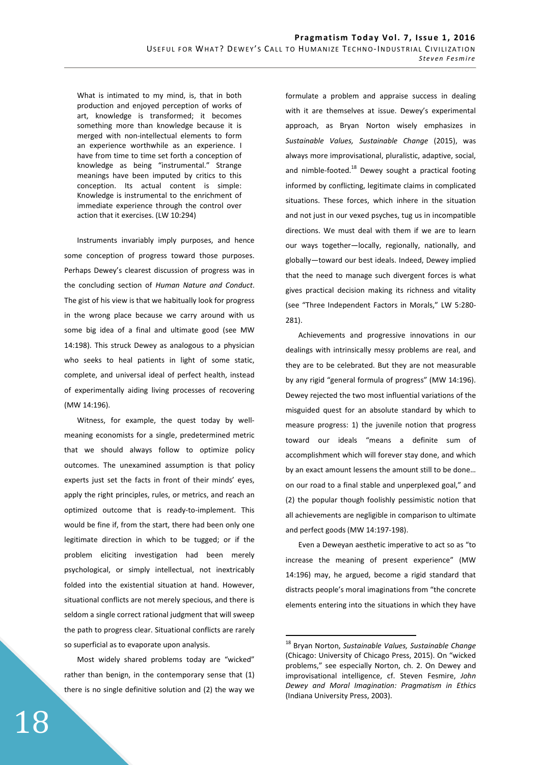What is intimated to my mind, is, that in both production and enjoyed perception of works of art, knowledge is transformed; it becomes something more than knowledge because it is merged with non-intellectual elements to form an experience worthwhile as an experience. I have from time to time set forth a conception of knowledge as being "instrumental." Strange meanings have been imputed by critics to this conception. Its actual content is simple: Knowledge is instrumental to the enrichment of immediate experience through the control over action that it exercises. (LW 10:294)

Instruments invariably imply purposes, and hence some conception of progress toward those purposes. Perhaps Dewey's clearest discussion of progress was in the concluding section of *Human Nature and Conduct*. The gist of his view is that we habitually look for progress in the wrong place because we carry around with us some big idea of a final and ultimate good (see MW 14:198). This struck Dewey as analogous to a physician who seeks to heal patients in light of some static, complete, and universal ideal of perfect health, instead of experimentally aiding living processes of recovering (MW 14:196).

Witness, for example, the quest today by wellmeaning economists for a single, predetermined metric that we should always follow to optimize policy outcomes. The unexamined assumption is that policy experts just set the facts in front of their minds' eyes, apply the right principles, rules, or metrics, and reach an optimized outcome that is ready-to-implement. This would be fine if, from the start, there had been only one legitimate direction in which to be tugged; or if the problem eliciting investigation had been merely psychological, or simply intellectual, not inextricably folded into the existential situation at hand. However, situational conflicts are not merely specious, and there is seldom a single correct rational judgment that will sweep the path to progress clear. Situational conflicts are rarely so superficial as to evaporate upon analysis.

Most widely shared problems today are "wicked" rather than benign, in the contemporary sense that (1) there is no single definitive solution and (2) the way we formulate a problem and appraise success in dealing with it are themselves at issue. Dewey's experimental approach, as Bryan Norton wisely emphasizes in *Sustainable Values, Sustainable Change* (2015), was always more improvisational, pluralistic, adaptive, social, and nimble-footed. $18$  Dewey sought a practical footing informed by conflicting, legitimate claims in complicated situations. These forces, which inhere in the situation and not just in our vexed psyches, tug us in incompatible directions. We must deal with them if we are to learn our ways together—locally, regionally, nationally, and globally—toward our best ideals. Indeed, Dewey implied that the need to manage such divergent forces is what gives practical decision making its richness and vitality (see "Three Independent Factors in Morals," LW 5:280- 281).

Achievements and progressive innovations in our dealings with intrinsically messy problems are real, and they are to be celebrated. But they are not measurable by any rigid "general formula of progress" (MW 14:196). Dewey rejected the two most influential variations of the misguided quest for an absolute standard by which to measure progress: 1) the juvenile notion that progress toward our ideals "means a definite sum of accomplishment which will forever stay done, and which by an exact amount lessens the amount still to be done… on our road to a final stable and unperplexed goal," and (2) the popular though foolishly pessimistic notion that all achievements are negligible in comparison to ultimate and perfect goods (MW 14:197-198).

Even a Deweyan aesthetic imperative to act so as "to increase the meaning of present experience" (MW 14:196) may, he argued, become a rigid standard that distracts people's moral imaginations from "the concrete elements entering into the situations in which they have

<sup>18</sup> Bryan Norton, *Sustainable Values, Sustainable Change* (Chicago: University of Chicago Press, 2015). On "wicked problems," see especially Norton, ch. 2. On Dewey and improvisational intelligence, cf. Steven Fesmire, *John Dewey and Moral Imagination: Pragmatism in Ethics*  (Indiana University Press, 2003).